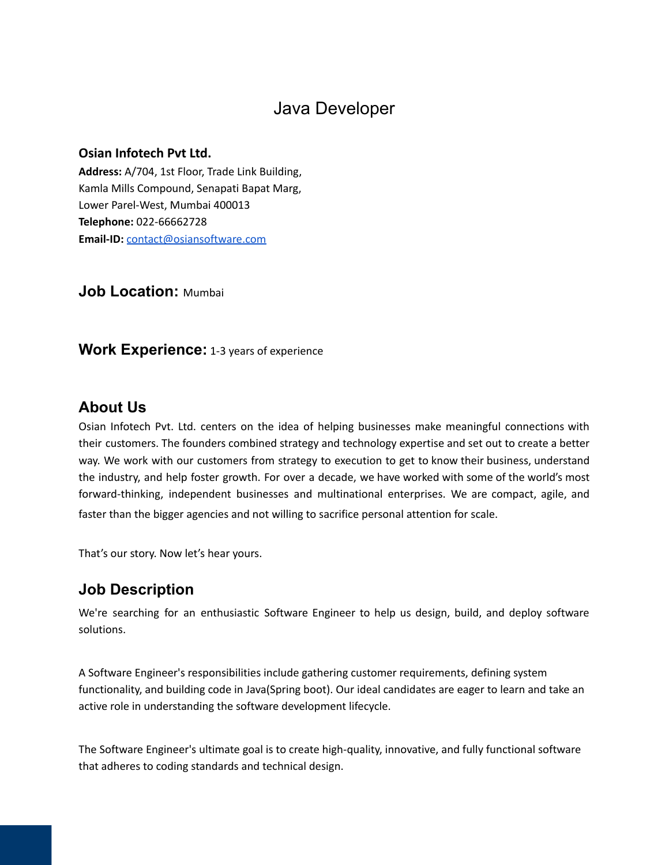# Java Developer

### **Osian Infotech Pvt Ltd.**

**Address:** A/704, 1st Floor, Trade Link Building, Kamla Mills Compound, Senapati Bapat Marg, Lower Parel-West, Mumbai 400013 **Telephone:** 022-66662728 **Email-ID:** [contact@osiansoftware.com](mailto:contact@osiansoftware.com)

**Job Location:** Mumbai

**Work Experience:** 1-3 years of experience

### **About Us**

Osian Infotech Pvt. Ltd. centers on the idea of helping businesses make meaningful connections with their customers. The founders combined strategy and technology expertise and set out to create a better way. We work with our customers from strategy to execution to get to know their business, understand the industry, and help foster growth. For over a decade, we have worked with some of the world's most forward-thinking, independent businesses and multinational enterprises. We are compact, agile, and faster than the bigger agencies and not willing to sacrifice personal attention for scale.

That's our story. Now let's hear yours.

## **Job Description**

We're searching for an enthusiastic Software Engineer to help us design, build, and deploy software solutions.

A Software Engineer's responsibilities include gathering customer requirements, defining system functionality, and building code in Java(Spring boot). Our ideal candidates are eager to learn and take an active role in understanding the software development lifecycle.

The Software Engineer's ultimate goal is to create high-quality, innovative, and fully functional software that adheres to coding standards and technical design.